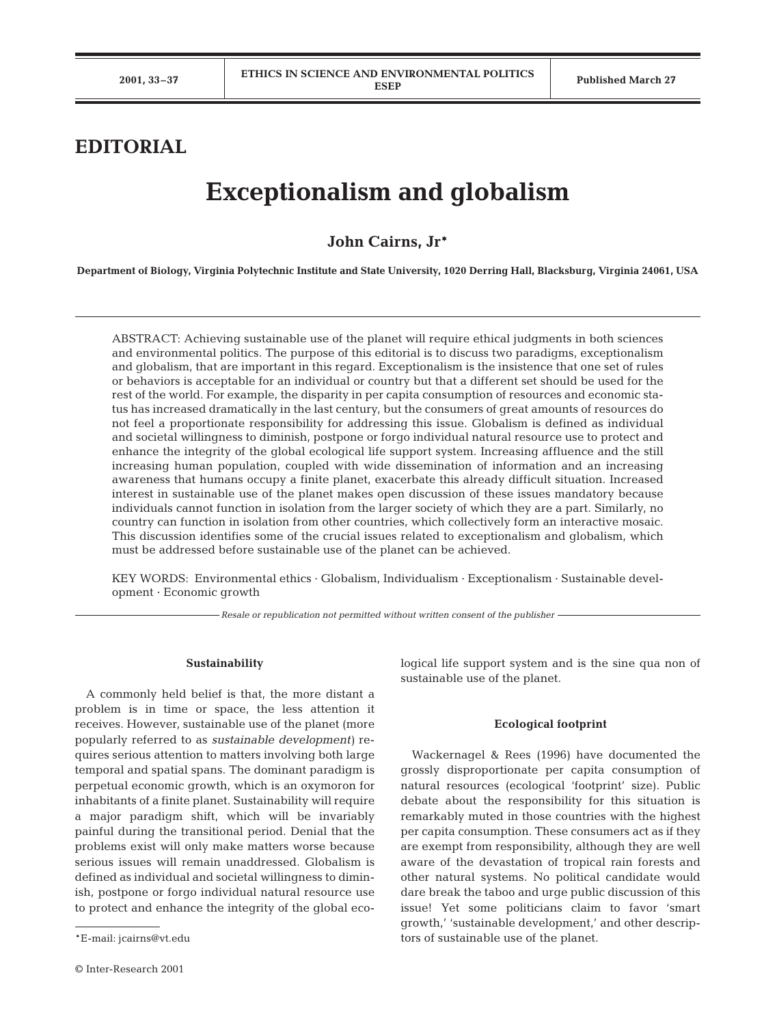## **EDITORIAL**

# **Exceptionalism and globalism**

### **John Cairns, Jr\***

**Department of Biology, Virginia Polytechnic Institute and State University, 1020 Derring Hall, Blacksburg, Virginia 24061, USA**

ABSTRACT: Achieving sustainable use of the planet will require ethical judgments in both sciences and environmental politics. The purpose of this editorial is to discuss two paradigms, exceptionalism and globalism, that are important in this regard. Exceptionalism is the insistence that one set of rules or behaviors is acceptable for an individual or country but that a different set should be used for the rest of the world. For example, the disparity in per capita consumption of resources and economic status has increased dramatically in the last century, but the consumers of great amounts of resources do not feel a proportionate responsibility for addressing this issue. Globalism is defined as individual and societal willingness to diminish, postpone or forgo individual natural resource use to protect and enhance the integrity of the global ecological life support system. Increasing affluence and the still increasing human population, coupled with wide dissemination of information and an increasing awareness that humans occupy a finite planet, exacerbate this already difficult situation. Increased interest in sustainable use of the planet makes open discussion of these issues mandatory because individuals cannot function in isolation from the larger society of which they are a part. Similarly, no country can function in isolation from other countries, which collectively form an interactive mosaic. This discussion identifies some of the crucial issues related to exceptionalism and globalism, which must be addressed before sustainable use of the planet can be achieved.

KEY WORDS: Environmental ethics · Globalism, Individualism · Exceptionalism · Sustainable development · Economic growth

*Resale or republication not permitted without written consent of the publisher*

#### **Sustainability**

A commonly held belief is that, the more distant a problem is in time or space, the less attention it receives. However, sustainable use of the planet (more popularly referred to as *sustainable development)* requires serious attention to matters involving both large temporal and spatial spans. The dominant paradigm is perpetual economic growth, which is an oxymoron for inhabitants of a finite planet. Sustainability will require a major paradigm shift, which will be invariably painful during the transitional period. Denial that the problems exist will only make matters worse because serious issues will remain unaddressed. Globalism is defined as individual and societal willingness to diminish, postpone or forgo individual natural resource use to protect and enhance the integrity of the global ecological life support system and is the sine qua non of sustainable use of the planet.

#### **Ecological footprint**

Wackernagel & Rees (1996) have documented the grossly disproportionate per capita consumption of natural resources (ecological 'footprint' size). Public debate about the responsibility for this situation is remarkably muted in those countries with the highest per capita consumption. These consumers act as if they are exempt from responsibility, although they are well aware of the devastation of tropical rain forests and other natural systems. No political candidate would dare break the taboo and urge public discussion of this issue! Yet some politicians claim to favor 'smart growth,' 'sustainable development,' and other descriptors of sustainable use of the planet.

<sup>\*</sup>E-mail: jcairns@vt.edu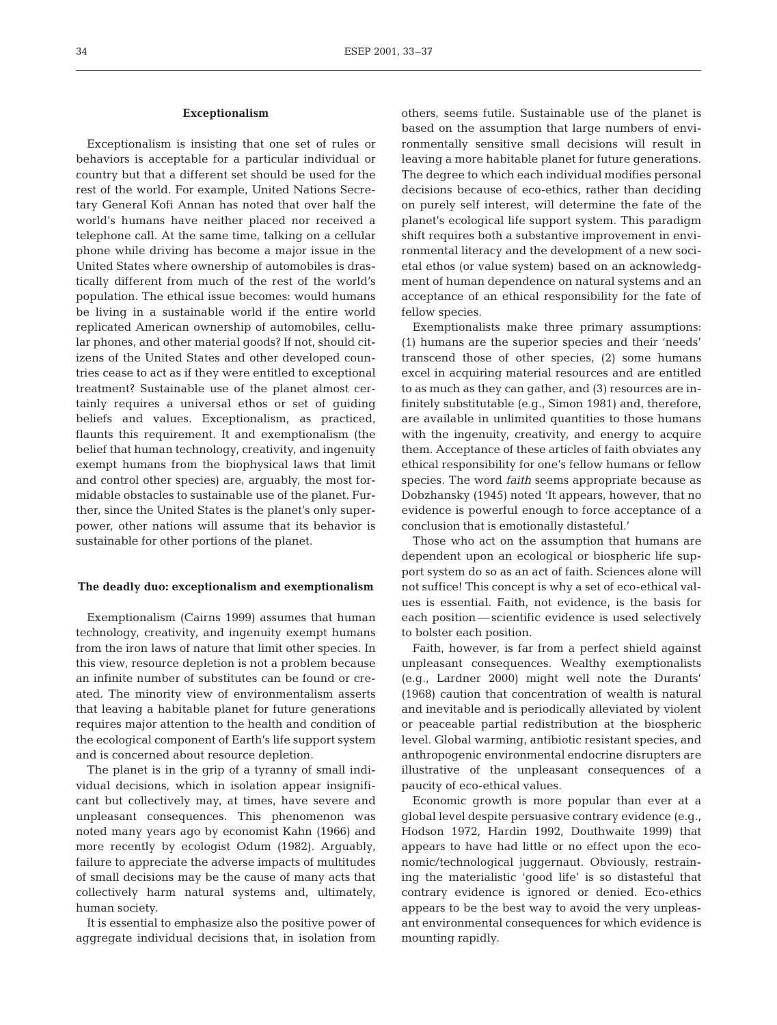#### **Exceptionalism**

Exceptionalism is insisting that one set of rules or behaviors is acceptable for a particular individual or country but that a different set should be used for the rest of the world. For example, United Nations Secretary General Kofi Annan has noted that over half the world's humans have neither placed nor received a telephone call. At the same time, talking on a cellular phone while driving has become a major issue in the United States where ownership of automobiles is drastically different from much of the rest of the world's population. The ethical issue becomes: would humans be living in a sustainable world if the entire world replicated American ownership of automobiles, cellular phones, and other material goods? If not, should citizens of the United States and other developed countries cease to act as if they were entitled to exceptional treatment? Sustainable use of the planet almost certainly requires a universal ethos or set of guiding beliefs and values. Exceptionalism, as practiced, flaunts this requirement. It and exemptionalism (the belief that human technology, creativity, and ingenuity exempt humans from the biophysical laws that limit and control other species) are, arguably, the most formidable obstacles to sustainable use of the planet. Further, since the United States is the planet's only superpower, other nations will assume that its behavior is sustainable for other portions of the planet.

#### **The deadly duo: exceptionalism and exemptionalism**

Exemptionalism (Cairns 1999) assumes that human technology, creativity, and ingenuity exempt humans from the iron laws of nature that limit other species. In this view, resource depletion is not a problem because an infinite number of substitutes can be found or created. The minority view of environmentalism asserts that leaving a habitable planet for future generations requires major attention to the health and condition of the ecological component of Earth's life support system and is concerned about resource depletion.

The planet is in the grip of a tyranny of small individual decisions, which in isolation appear insignificant but collectively may, at times, have severe and unpleasant consequences. This phenomenon was noted many years ago by economist Kahn (1966) and more recently by ecologist Odum (1982). Arguably, failure to appreciate the adverse impacts of multitudes of small decisions may be the cause of many acts that collectively harm natural systems and, ultimately, human society.

It is essential to emphasize also the positive power of aggregate individual decisions that, in isolation from

others, seems futile. Sustainable use of the planet is based on the assumption that large numbers of environmentally sensitive small decisions will result in leaving a more habitable planet for future generations. The degree to which each individual modifies personal decisions because of eco-ethics, rather than deciding on purely self interest, will determine the fate of the planet's ecological life support system. This paradigm shift requires both a substantive improvement in environmental literacy and the development of a new societal ethos (or value system) based on an acknowledgment of human dependence on natural systems and an acceptance of an ethical responsibility for the fate of fellow species.

Exemptionalists make three primary assumptions: (1) humans are the superior species and their 'needs' transcend those of other species, (2) some humans excel in acquiring material resources and are entitled to as much as they can gather, and (3) resources are infinitely substitutable (e.g., Simon 1981) and, therefore, are available in unlimited quantities to those humans with the ingenuity, creativity, and energy to acquire them. Acceptance of these articles of faith obviates any ethical responsibility for one's fellow humans or fellow species. The word *faith* seems appropriate because as Dobzhansky (1945) noted 'It appears, however, that no evidence is powerful enough to force acceptance of a conclusion that is emotionally distasteful.'

Those who act on the assumption that humans are dependent upon an ecological or biospheric life support system do so as an act of faith. Sciences alone will not suffice! This concept is why a set of eco-ethical values is essential. Faith, not evidence, is the basis for each position — scientific evidence is used selectively to bolster each position.

Faith, however, is far from a perfect shield against unpleasant consequences. Wealthy exemptionalists (e.g., Lardner 2000) might well note the Durants' (1968) caution that concentration of wealth is natural and inevitable and is periodically alleviated by violent or peaceable partial redistribution at the biospheric level. Global warming, antibiotic resistant species, and anthropogenic environmental endocrine disrupters are illustrative of the unpleasant consequences of a paucity of eco-ethical values.

Economic growth is more popular than ever at a global level despite persuasive contrary evidence (e.g., Hodson 1972, Hardin 1992, Douthwaite 1999) that appears to have had little or no effect upon the economic/technological juggernaut. Obviously, restraining the materialistic 'good life' is so distasteful that contrary evidence is ignored or denied. Eco-ethics appears to be the best way to avoid the very unpleasant environmental consequences for which evidence is mounting rapidly.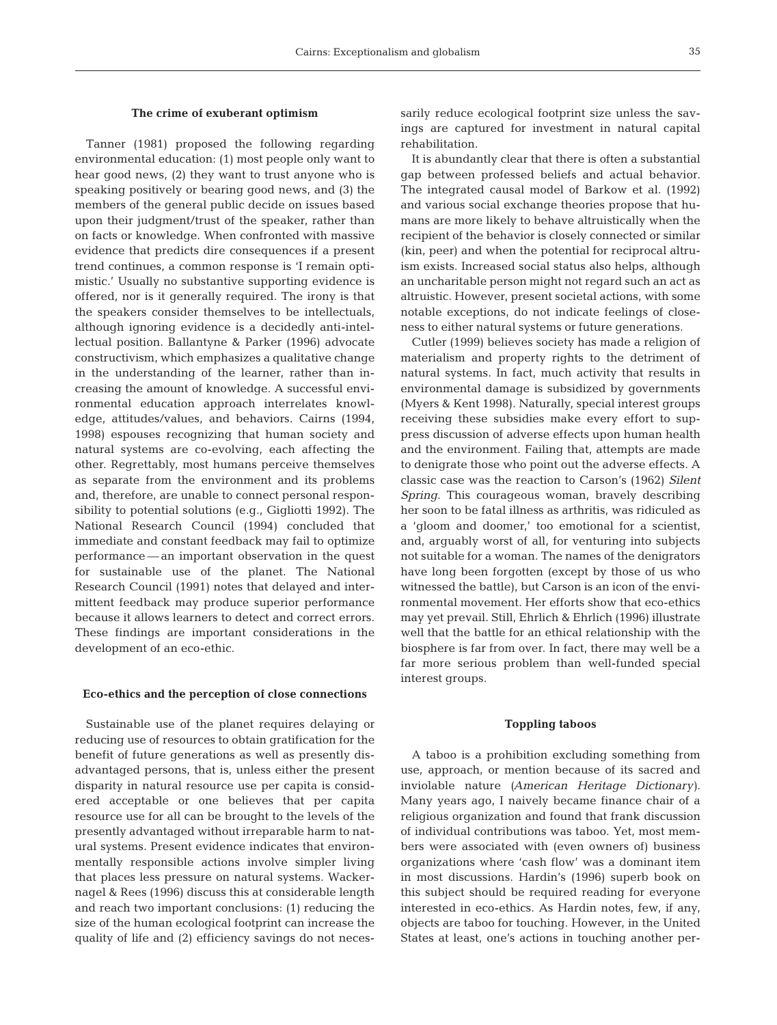#### **The crime of exuberant optimism**

Tanner (1981) proposed the following regarding environmental education: (1) most people only want to hear good news, (2) they want to trust anyone who is speaking positively or bearing good news, and (3) the members of the general public decide on issues based upon their judgment/trust of the speaker, rather than on facts or knowledge. When confronted with massive evidence that predicts dire consequences if a present trend continues, a common response is 'I remain optimistic.' Usually no substantive supporting evidence is offered, nor is it generally required. The irony is that the speakers consider themselves to be intellectuals, although ignoring evidence is a decidedly anti-intellectual position. Ballantyne & Parker (1996) advocate constructivism, which emphasizes a qualitative change in the understanding of the learner, rather than increasing the amount of knowledge. A successful environmental education approach interrelates knowledge, attitudes/values, and behaviors. Cairns (1994, 1998) espouses recognizing that human society and natural systems are co-evolving, each affecting the other. Regrettably, most humans perceive themselves as separate from the environment and its problems and, therefore, are unable to connect personal responsibility to potential solutions (e.g., Gigliotti 1992). The National Research Council (1994) concluded that immediate and constant feedback may fail to optimize performance — an important observation in the quest for sustainable use of the planet. The National Research Council (1991) notes that delayed and intermittent feedback may produce superior performance because it allows learners to detect and correct errors. These findings are important considerations in the development of an eco-ethic.

#### **Eco-ethics and the perception of close connections**

Sustainable use of the planet requires delaying or reducing use of resources to obtain gratification for the benefit of future generations as well as presently disadvantaged persons, that is, unless either the present disparity in natural resource use per capita is considered acceptable or one believes that per capita resource use for all can be brought to the levels of the presently advantaged without irreparable harm to natural systems. Present evidence indicates that environmentally responsible actions involve simpler living that places less pressure on natural systems. Wackernagel & Rees (1996) discuss this at considerable length and reach two important conclusions: (1) reducing the size of the human ecological footprint can increase the quality of life and (2) efficiency savings do not neces-

sarily reduce ecological footprint size unless the savings are captured for investment in natural capital rehabilitation.

It is abundantly clear that there is often a substantial gap between professed beliefs and actual behavior. The integrated causal model of Barkow et al. (1992) and various social exchange theories propose that humans are more likely to behave altruistically when the recipient of the behavior is closely connected or similar (kin, peer) and when the potential for reciprocal altruism exists. Increased social status also helps, although an uncharitable person might not regard such an act as altruistic. However, present societal actions, with some notable exceptions, do not indicate feelings of closeness to either natural systems or future generations.

Cutler (1999) believes society has made a religion of materialism and property rights to the detriment of natural systems. In fact, much activity that results in environmental damage is subsidized by governments (Myers & Kent 1998). Naturally, special interest groups receiving these subsidies make every effort to suppress discussion of adverse effects upon human health and the environment. Failing that, attempts are made to denigrate those who point out the adverse effects. A classic case was the reaction to Carson's (1962) *Silent Spring*. This courageous woman, bravely describing her soon to be fatal illness as arthritis, was ridiculed as a 'gloom and doomer,' too emotional for a scientist, and, arguably worst of all, for venturing into subjects not suitable for a woman. The names of the denigrators have long been forgotten (except by those of us who witnessed the battle), but Carson is an icon of the environmental movement. Her efforts show that eco-ethics may yet prevail. Still, Ehrlich & Ehrlich (1996) illustrate well that the battle for an ethical relationship with the biosphere is far from over. In fact, there may well be a far more serious problem than well-funded special interest groups.

#### **Toppling taboos**

A taboo is a prohibition excluding something from use, approach, or mention because of its sacred and inviolable nature *(American Heritage Dictionary)*. Many years ago, I naively became finance chair of a religious organization and found that frank discussion of individual contributions was taboo. Yet, most members were associated with (even owners of) business organizations where 'cash flow' was a dominant item in most discussions. Hardin's (1996) superb book on this subject should be required reading for everyone interested in eco-ethics. As Hardin notes, few, if any, objects are taboo for touching. However, in the United States at least, one's actions in touching another per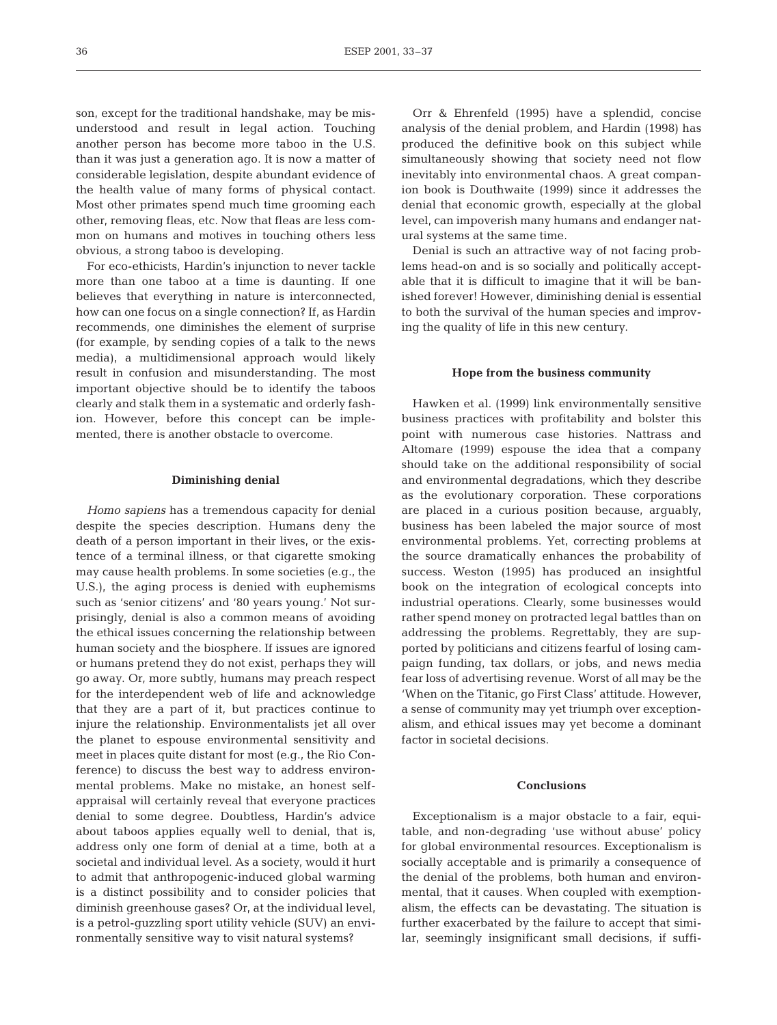son, except for the traditional handshake, may be misunderstood and result in legal action. Touching another person has become more taboo in the U.S. than it was just a generation ago. It is now a matter of considerable legislation, despite abundant evidence of the health value of many forms of physical contact. Most other primates spend much time grooming each other, removing fleas, etc. Now that fleas are less common on humans and motives in touching others less obvious, a strong taboo is developing.

For eco-ethicists, Hardin's injunction to never tackle more than one taboo at a time is daunting. If one believes that everything in nature is interconnected, how can one focus on a single connection? If, as Hardin recommends, one diminishes the element of surprise (for example, by sending copies of a talk to the news media), a multidimensional approach would likely result in confusion and misunderstanding. The most important objective should be to identify the taboos clearly and stalk them in a systematic and orderly fashion. However, before this concept can be implemented, there is another obstacle to overcome.

#### **Diminishing denial**

*Homo sapiens* has a tremendous capacity for denial despite the species description. Humans deny the death of a person important in their lives, or the existence of a terminal illness, or that cigarette smoking may cause health problems. In some societies (e.g., the U.S.), the aging process is denied with euphemisms such as 'senior citizens' and '80 years young.' Not surprisingly, denial is also a common means of avoiding the ethical issues concerning the relationship between human society and the biosphere. If issues are ignored or humans pretend they do not exist, perhaps they will go away. Or, more subtly, humans may preach respect for the interdependent web of life and acknowledge that they are a part of it, but practices continue to injure the relationship. Environmentalists jet all over the planet to espouse environmental sensitivity and meet in places quite distant for most (e.g., the Rio Conference) to discuss the best way to address environmental problems. Make no mistake, an honest selfappraisal will certainly reveal that everyone practices denial to some degree. Doubtless, Hardin's advice about taboos applies equally well to denial, that is, address only one form of denial at a time, both at a societal and individual level. As a society, would it hurt to admit that anthropogenic-induced global warming is a distinct possibility and to consider policies that diminish greenhouse gases? Or, at the individual level, is a petrol-guzzling sport utility vehicle (SUV) an environmentally sensitive way to visit natural systems?

Orr & Ehrenfeld (1995) have a splendid, concise analysis of the denial problem, and Hardin (1998) has produced the definitive book on this subject while simultaneously showing that society need not flow inevitably into environmental chaos. A great companion book is Douthwaite (1999) since it addresses the denial that economic growth, especially at the global level, can impoverish many humans and endanger natural systems at the same time.

Denial is such an attractive way of not facing problems head-on and is so socially and politically acceptable that it is difficult to imagine that it will be banished forever! However, diminishing denial is essential to both the survival of the human species and improving the quality of life in this new century.

#### **Hope from the business community**

Hawken et al. (1999) link environmentally sensitive business practices with profitability and bolster this point with numerous case histories. Nattrass and Altomare (1999) espouse the idea that a company should take on the additional responsibility of social and environmental degradations, which they describe as the evolutionary corporation. These corporations are placed in a curious position because, arguably, business has been labeled the major source of most environmental problems. Yet, correcting problems at the source dramatically enhances the probability of success. Weston (1995) has produced an insightful book on the integration of ecological concepts into industrial operations. Clearly, some businesses would rather spend money on protracted legal battles than on addressing the problems. Regrettably, they are supported by politicians and citizens fearful of losing campaign funding, tax dollars, or jobs, and news media fear loss of advertising revenue. Worst of all may be the 'When on the Titanic, go First Class' attitude. However, a sense of community may yet triumph over exceptionalism, and ethical issues may yet become a dominant factor in societal decisions.

#### **Conclusions**

Exceptionalism is a major obstacle to a fair, equitable, and non-degrading 'use without abuse' policy for global environmental resources. Exceptionalism is socially acceptable and is primarily a consequence of the denial of the problems, both human and environmental, that it causes. When coupled with exemptionalism, the effects can be devastating. The situation is further exacerbated by the failure to accept that similar, seemingly insignificant small decisions, if suffi